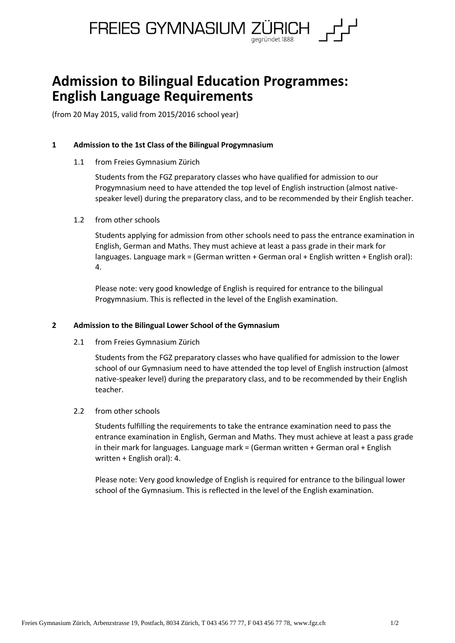

# **Admission to Bilingual Education Programmes: English Language Requirements**

(from 20 May 2015, valid from 2015/2016 school year)

### **1 Admission to the 1st Class of the Bilingual Progymnasium**

1.1 from Freies Gymnasium Zürich

Students from the FGZ preparatory classes who have qualified for admission to our Progymnasium need to have attended the top level of English instruction (almost nativespeaker level) during the preparatory class, and to be recommended by their English teacher.

1.2 from other schools

Students applying for admission from other schools need to pass the entrance examination in English, German and Maths. They must achieve at least a pass grade in their mark for languages. Language mark = (German written + German oral + English written + English oral): 4.

Please note: very good knowledge of English is required for entrance to the bilingual Progymnasium. This is reflected in the level of the English examination.

#### **2 Admission to the Bilingual Lower School of the Gymnasium**

2.1 from Freies Gymnasium Zürich

Students from the FGZ preparatory classes who have qualified for admission to the lower school of our Gymnasium need to have attended the top level of English instruction (almost native-speaker level) during the preparatory class, and to be recommended by their English teacher.

## 2.2 from other schools

Students fulfilling the requirements to take the entrance examination need to pass the entrance examination in English, German and Maths. They must achieve at least a pass grade in their mark for languages. Language mark = (German written + German oral + English written + English oral): 4.

Please note: Very good knowledge of English is required for entrance to the bilingual lower school of the Gymnasium. This is reflected in the level of the English examination.